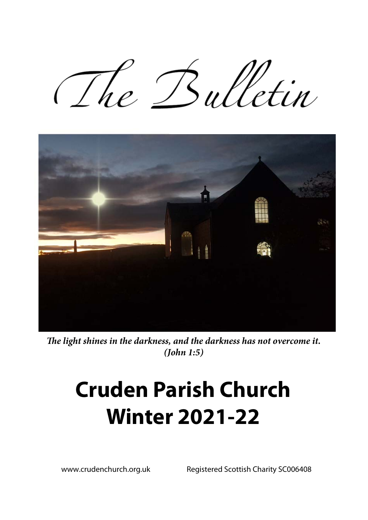The Bulletin



*The light shines in the darkness, and the darkness has not overcome it. (John 1:5)* 

# **Cruden Parish Church Winter 2021-22**

www.crudenchurch.org.uk Registered Scottish Charity SC006408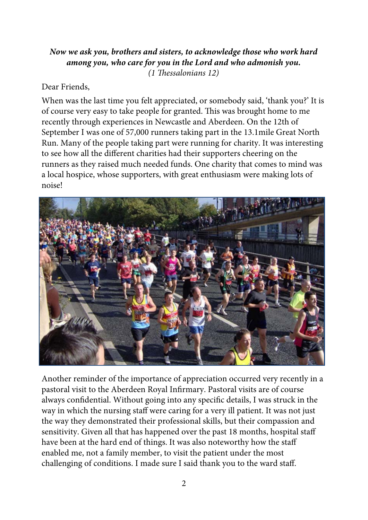#### *Now we ask you, brothers and sisters, to acknowledge those who work hard among you, who care for you in the Lord and who admonish you. (1 Thessalonians 12)*

#### Dear Friends,

When was the last time you felt appreciated, or somebody said, 'thank you?' It is of course very easy to take people for granted. This was brought home to me recently through experiences in Newcastle and Aberdeen. On the 12th of September I was one of 57,000 runners taking part in the 13.1mile Great North Run. Many of the people taking part were running for charity. It was interesting to see how all the different charities had their supporters cheering on the runners as they raised much needed funds. One charity that comes to mind was a local hospice, whose supporters, with great enthusiasm were making lots of noise!



Another reminder of the importance of appreciation occurred very recently in a pastoral visit to the Aberdeen Royal Infirmary. Pastoral visits are of course always confidential. Without going into any specific details, I was struck in the way in which the nursing staff were caring for a very ill patient. It was not just the way they demonstrated their professional skills, but their compassion and sensitivity. Given all that has happened over the past 18 months, hospital staff have been at the hard end of things. It was also noteworthy how the staff enabled me, not a family member, to visit the patient under the most challenging of conditions. I made sure I said thank you to the ward staff.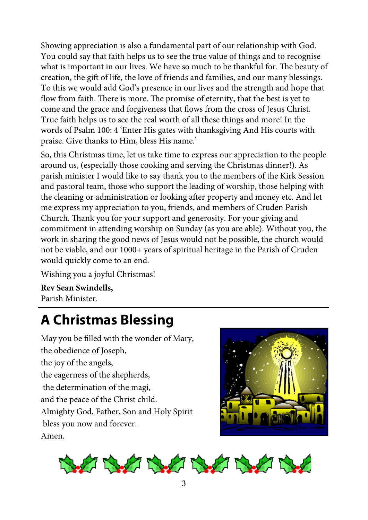Showing appreciation is also a fundamental part of our relationship with God. You could say that faith helps us to see the true value of things and to recognise what is important in our lives. We have so much to be thankful for. The beauty of creation, the gift of life, the love of friends and families, and our many blessings. To this we would add God's presence in our lives and the strength and hope that flow from faith. There is more. The promise of eternity, that the best is yet to come and the grace and forgiveness that flows from the cross of Jesus Christ. True faith helps us to see the real worth of all these things and more! In the words of Psalm 100: 4 'Enter His gates with thanksgiving And His courts with praise. Give thanks to Him, bless His name.'

So, this Christmas time, let us take time to express our appreciation to the people around us, (especially those cooking and serving the Christmas dinner!). As parish minister I would like to say thank you to the members of the Kirk Session and pastoral team, those who support the leading of worship, those helping with the cleaning or administration or looking after property and money etc. And let me express my appreciation to you, friends, and members of Cruden Parish Church. Thank you for your support and generosity. For your giving and commitment in attending worship on Sunday (as you are able). Without you, the work in sharing the good news of Jesus would not be possible, the church would not be viable, and our 1000+ years of spiritual heritage in the Parish of Cruden would quickly come to an end.

Wishing you a joyful Christmas!

**Rev Sean Swindells,**  Parish Minister.

# **A Christmas Blessing**

May you be filled with the wonder of Mary, the obedience of Joseph, the joy of the angels, the eagerness of the shepherds, the determination of the magi, and the peace of the Christ child. Almighty God, Father, Son and Holy Spirit bless you now and forever. Amen.



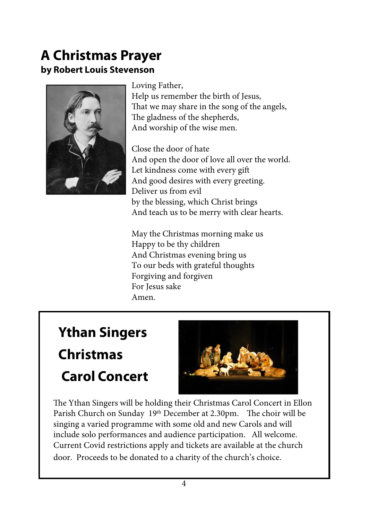### **A Christmas Prayer by Robert Louis Stevenson**



Loving Father, Help us remember the birth of Jesus, That we may share in the song of the angels, The gladness of the shepherds, And worship of the wise men.

Close the door of hate And open the door of love all over the world. Let kindness come with every gift And good desires with every greeting. Deliver us from evil by the blessing, which Christ brings And teach us to be merry with clear hearts.

May the Christmas morning make us Happy to be thy children And Christmas evening bring us To our beds with grateful thoughts Forgiving and forgiven For Jesus sake Amen.

# **Ythan Singers Christmas Carol Concert**



The Ythan Singers will be holding their Christmas Carol Concert in Ellon Parish Church on Sunday 19th December at 2.30pm. The choir will be singing a varied programme with some old and new Carols and will include solo performances and audience participation. All welcome. Current Covid restrictions apply and tickets are available at the church door. Proceeds to be donated to a charity of the church's choice.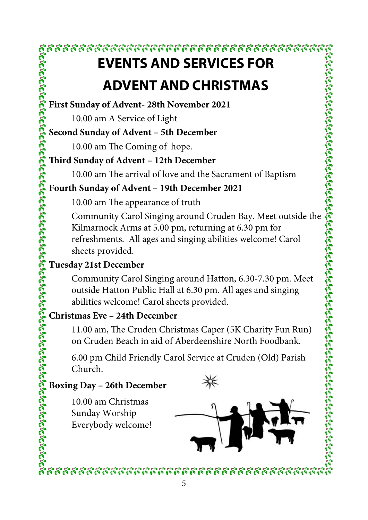### **EVENTS AND SERVICES FOR ADVENT AND CHRISTMAS**

**First Sunday of Advent- 28th November 2021** 

10.00 am A Service of Light

### **Second Sunday of Advent – 5th December**

10.00 am The Coming of hope.

### **Third Sunday of Advent – 12th December**

10.00 am The arrival of love and the Sacrament of Baptism

### **Fourth Sunday of Advent – 19th December 2021**

10.00 am The appearance of truth

releterateleren ereteteren ereteteren ereteteren ereteteren ereteteren ereteteren ereteteren er Community Carol Singing around Cruden Bay. Meet outside the Kilmarnock Arms at 5.00 pm, returning at 6.30 pm for refreshments. All ages and singing abilities welcome! Carol sheets provided.

### **Tuesday 21st December**

Community Carol Singing around Hatton, 6.30-7.30 pm. Meet outside Hatton Public Hall at 6.30 pm. All ages and singing abilities welcome! Carol sheets provided.

### **Christmas Eve – 24th December**

11.00 am, The Cruden Christmas Caper (5K Charity Fun Run) on Cruden Beach in aid of Aberdeenshire North Foodbank.

6.00 pm Child Friendly Carol Service at Cruden (Old) Parish Church.

### **Boxing Day – 26th December**

10.00 am Christmas Sunday Worship Everybody welcome!





2020222222222222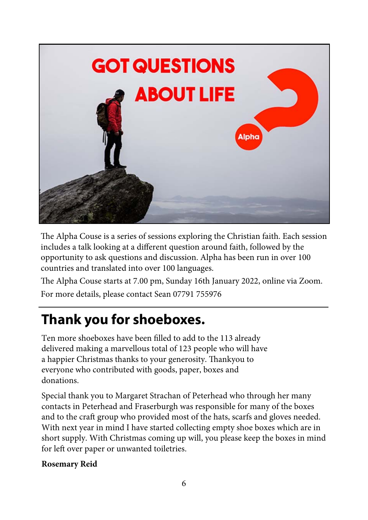

The Alpha Couse is a series of sessions exploring the Christian faith. Each session includes a talk looking at a different question around faith, followed by the opportunity to ask questions and discussion. Alpha has been run in over 100 countries and translated into over 100 languages.

The Alpha Couse starts at 7.00 pm, Sunday 16th January 2022, online via Zoom. For more details, please contact Sean 07791 755976

### **Thank you for shoeboxes.**

Ten more shoeboxes have been filled to add to the 113 already delivered making a marvellous total of 123 people who will have a happier Christmas thanks to your generosity. Thankyou to everyone who contributed with goods, paper, boxes and donations.

Special thank you to Margaret Strachan of Peterhead who through her many contacts in Peterhead and Fraserburgh was responsible for many of the boxes and to the craft group who provided most of the hats, scarfs and gloves needed. With next year in mind I have started collecting empty shoe boxes which are in short supply. With Christmas coming up will, you please keep the boxes in mind for left over paper or unwanted toiletries.

#### **Rosemary Reid**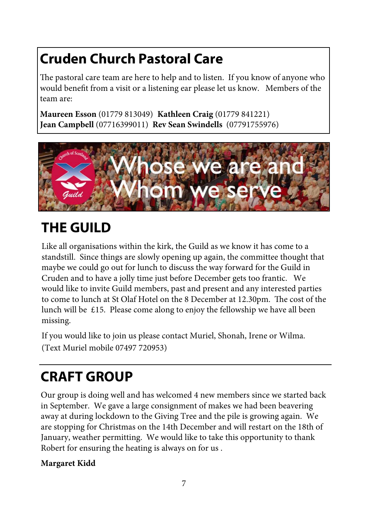# **Cruden Church Pastoral Care**

The pastoral care team are here to help and to listen. If you know of anyone who would benefit from a visit or a listening ear please let us know. Members of the team are:

**Maureen Esson** (01779 813049) **Kathleen Craig** (01779 841221) **Jean Campbell** (07716399011) **Rev Sean Swindells** (07791755976)



# **THE GUILD**

Like all organisations within the kirk, the Guild as we know it has come to a standstill. Since things are slowly opening up again, the committee thought that maybe we could go out for lunch to discuss the way forward for the Guild in Cruden and to have a jolly time just before December gets too frantic. We would like to invite Guild members, past and present and any interested parties to come to lunch at St Olaf Hotel on the 8 December at 12.30pm. The cost of the lunch will be  $£15$ . Please come along to enjoy the fellowship we have all been missing.

If you would like to join us please contact Muriel, Shonah, Irene or Wilma. (Text Muriel mobile 07497 720953)

# **CRAFT GROUP**

Our group is doing well and has welcomed 4 new members since we started back in September. We gave a large consignment of makes we had been beavering away at during lockdown to the Giving Tree and the pile is growing again. We are stopping for Christmas on the 14th December and will restart on the 18th of January, weather permitting. We would like to take this opportunity to thank Robert for ensuring the heating is always on for us .

#### **Margaret Kidd**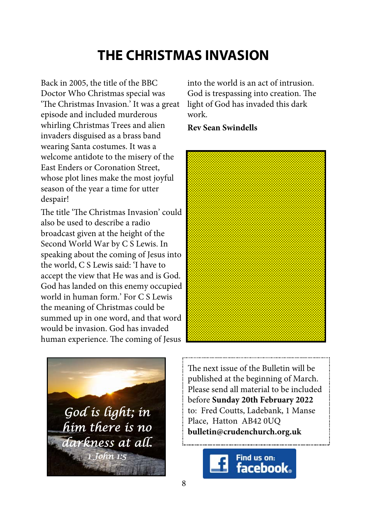### **THE CHRISTMAS INVASION**

Back in 2005, the title of the BBC Doctor Who Christmas special was 'The Christmas Invasion.' It was a great episode and included murderous whirling Christmas Trees and alien invaders disguised as a brass band wearing Santa costumes. It was a welcome antidote to the misery of the East Enders or Coronation Street, whose plot lines make the most joyful season of the year a time for utter despair!

The title 'The Christmas Invasion' could also be used to describe a radio broadcast given at the height of the Second World War by C S Lewis. In speaking about the coming of Jesus into the world, C S Lewis said: 'I have to accept the view that He was and is God. God has landed on this enemy occupied world in human form.' For C S Lewis the meaning of Christmas could be summed up in one word, and that word would be invasion. God has invaded human experience. The coming of Jesus

*God is light; in him there is no darkness at all. 1 John 1:5* 

into the world is an act of intrusion. God is trespassing into creation. The light of God has invaded this dark work.

**Rev Sean Swindells** 



The next issue of the Bulletin will be published at the beginning of March. Please send all material to be included before **Sunday 20th February 2022**  to: Fred Coutts, Ladebank, 1 Manse Place, Hatton AB42 0UQ **bulletin@crudenchurch.org.uk**

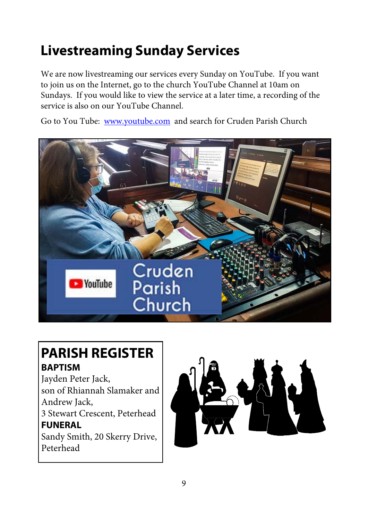# **Livestreaming Sunday Services**

We are now livestreaming our services every Sunday on YouTube. If you want to join us on the Internet, go to the church YouTube Channel at 10am on Sundays. If you would like to view the service at a later time, a recording of the service is also on our YouTube Channel.

Go to You Tube: www.youtube.com and search for Cruden Parish Church



### **PARISH REGISTER BAPTISM**

Jayden Peter Jack, son of Rhiannah Slamaker and Andrew Jack, 3 Stewart Crescent, Peterhead **FUNERAL**  Sandy Smith, 20 Skerry Drive, Peterhead

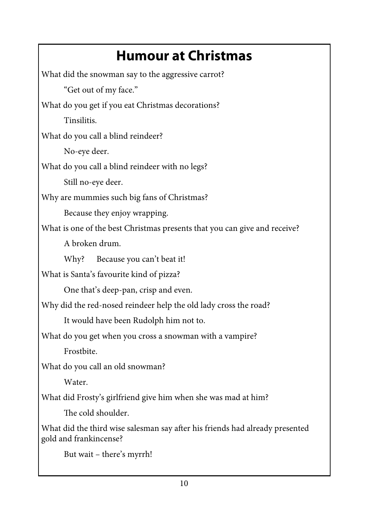# **Humour at Christmas**

What did the snowman say to the aggressive carrot? "Get out of my face." What do you get if you eat Christmas decorations? Tinsilitis. What do you call a blind reindeer? No-eye deer. What do you call a blind reindeer with no legs? Still no-eye deer. Why are mummies such big fans of Christmas? Because they enjoy wrapping. What is one of the best Christmas presents that you can give and receive? A broken drum. Why? Because you can't beat it! What is Santa's favourite kind of pizza? One that's deep-pan, crisp and even. Why did the red-nosed reindeer help the old lady cross the road? It would have been Rudolph him not to. What do you get when you cross a snowman with a vampire? Frostbite. What do you call an old snowman? Water. What did Frosty's girlfriend give him when she was mad at him? The cold shoulder. What did the third wise salesman say after his friends had already presented gold and frankincense? But wait – there's myrrh!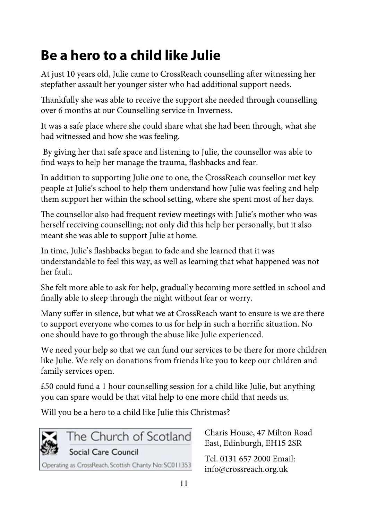# **Be a hero to a child like Julie**

At just 10 years old, Julie came to CrossReach counselling after witnessing her stepfather assault her younger sister who had additional support needs.

Thankfully she was able to receive the support she needed through counselling over 6 months at our Counselling service in Inverness.

It was a safe place where she could share what she had been through, what she had witnessed and how she was feeling.

 By giving her that safe space and listening to Julie, the counsellor was able to find ways to help her manage the trauma, flashbacks and fear.

In addition to supporting Julie one to one, the CrossReach counsellor met key people at Julie's school to help them understand how Julie was feeling and help them support her within the school setting, where she spent most of her days.

The counsellor also had frequent review meetings with Julie's mother who was herself receiving counselling; not only did this help her personally, but it also meant she was able to support Julie at home.

In time, Julie's flashbacks began to fade and she learned that it was understandable to feel this way, as well as learning that what happened was not her fault.

She felt more able to ask for help, gradually becoming more settled in school and finally able to sleep through the night without fear or worry.

Many suffer in silence, but what we at CrossReach want to ensure is we are there to support everyone who comes to us for help in such a horrific situation. No one should have to go through the abuse like Julie experienced.

We need your help so that we can fund our services to be there for more children like Julie. We rely on donations from friends like you to keep our children and family services open.

£50 could fund a 1 hour counselling session for a child like Julie, but anything you can spare would be that vital help to one more child that needs us.

Will you be a hero to a child like Julie this Christmas?



Charis House, 47 Milton Road East, Edinburgh, EH15 2SR

Tel. 0131 657 2000 Email: info@crossreach.org.uk